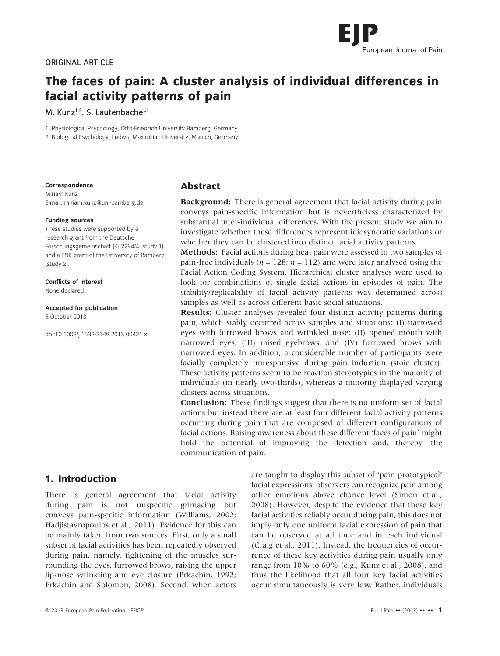

# **The faces of pain: A cluster analysis of individual differences in facial activity patterns of pain**

M. Kunz<sup>1,2</sup>, S. Lautenbacher<sup>1</sup>

1 Physiological Psychology, Otto-Friedrich University Bamberg, Germany

2 Biological Psychology, Ludwig Maximilian University, Munich, Germany

#### **Correspondence**

Miriam Kunz E-mail: [miriam.kunz@uni-bamberg.de](mailto:miriam.kunz@uni-bamberg.de)

#### **Funding sources**

These studies were supported by a research grant from the Deutsche Forschungsgemeinschaft (Ku2294/4; study 1) and a FNK grant of the University of Bamberg (study 2).

**Conflicts of interest**

None declared.

**Accepted for publication** 5 October 2013

doi:10.1002/j.1532-2149.2013.00421.x

### **Abstract**

**Background:** There is general agreement that facial activity during pain conveys pain-specific information but is nevertheless characterized by substantial inter-individual differences. With the present study we aim to investigate whether these differences represent idiosyncratic variations or whether they can be clustered into distinct facial activity patterns.

**Methods:** Facial actions during heat pain were assessed in two samples of pain-free individuals ( $n = 128$ ;  $n = 112$ ) and were later analysed using the Facial Action Coding System. Hierarchical cluster analyses were used to look for combinations of single facial actions in episodes of pain. The stability/replicability of facial activity patterns was determined across samples as well as across different basic social situations.

**Results:** Cluster analyses revealed four distinct activity patterns during pain, which stably occurred across samples and situations: (I) narrowed eyes with furrowed brows and wrinkled nose; (II) opened mouth with narrowed eyes; (III) raised eyebrows; and (IV) furrowed brows with narrowed eyes. In addition, a considerable number of participants were facially completely unresponsive during pain induction (stoic cluster). These activity patterns seem to be reaction stereotypies in the majority of individuals (in nearly two-thirds), whereas a minority displayed varying clusters across situations.

**Conclusion:** These findings suggest that there is no uniform set of facial actions but instead there are at least four different facial activity patterns occurring during pain that are composed of different configurations of facial actions. Raising awareness about these different 'faces of pain' might hold the potential of improving the detection and, thereby, the communication of pain.

# **1. Introduction**

There is general agreement that facial activity during pain is not unspecific grimacing but conveys pain-specific information (Williams, 2002; Hadjistavropoulos et al., 2011). Evidence for this can be mainly taken from two sources. First, only a small subset of facial activities has been repeatedly observed during pain, namely, tightening of the muscles surrounding the eyes, furrowed brows, raising the upper lip/nose wrinkling and eye closure (Prkachin, 1992; Prkachin and Solomon, 2008). Second, when actors are taught to display this subset of 'pain prototypical' facial expressions, observers can recognize pain among other emotions above chance level (Simon et al., 2008). However, despite the evidence that these key facial activities reliably occur during pain, this does not imply only one uniform facial expression of pain that can be observed at all time and in each individual (Craig et al., 2011). Instead, the frequencies of occurrence of these key activities during pain usually only range from 10% to 60% (e.g., Kunz et al., 2008), and thus the likelihood that all four key facial activities occur simultaneously is very low. Rather, individuals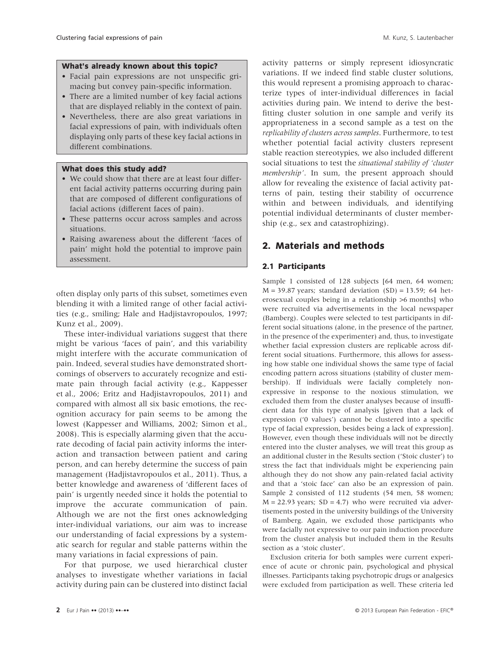#### **What's already known about this topic?**

- Facial pain expressions are not unspecific grimacing but convey pain-specific information.
- There are a limited number of key facial actions that are displayed reliably in the context of pain.
- Nevertheless, there are also great variations in facial expressions of pain, with individuals often displaying only parts of these key facial actions in different combinations.

### **What does this study add?**

- We could show that there are at least four different facial activity patterns occurring during pain that are composed of different configurations of facial actions (different faces of pain).
- These patterns occur across samples and across situations.
- Raising awareness about the different 'faces of pain' might hold the potential to improve pain assessment.

often display only parts of this subset, sometimes even blending it with a limited range of other facial activities (e.g., smiling; Hale and Hadjistavropoulos, 1997; Kunz et al., 2009).

These inter-individual variations suggest that there might be various 'faces of pain', and this variability might interfere with the accurate communication of pain. Indeed, several studies have demonstrated shortcomings of observers to accurately recognize and estimate pain through facial activity (e.g., Kappesser et al., 2006; Eritz and Hadjistavropoulos, 2011) and compared with almost all six basic emotions, the recognition accuracy for pain seems to be among the lowest (Kappesser and Williams, 2002; Simon et al., 2008). This is especially alarming given that the accurate decoding of facial pain activity informs the interaction and transaction between patient and caring person, and can hereby determine the success of pain management (Hadjistavropoulos et al., 2011). Thus, a better knowledge and awareness of 'different faces of pain' is urgently needed since it holds the potential to improve the accurate communication of pain. Although we are not the first ones acknowledging inter-individual variations, our aim was to increase our understanding of facial expressions by a systematic search for regular and stable patterns within the many variations in facial expressions of pain.

For that purpose, we used hierarchical cluster analyses to investigate whether variations in facial activity during pain can be clustered into distinct facial

activity patterns or simply represent idiosyncratic variations. If we indeed find stable cluster solutions, this would represent a promising approach to characterize types of inter-individual differences in facial activities during pain. We intend to derive the bestfitting cluster solution in one sample and verify its appropriateness in a second sample as a test on the *replicability of clusters across samples*. Furthermore, to test whether potential facial activity clusters represent stable reaction stereotypies, we also included different social situations to test the *situational stability of 'cluster membership'*. In sum, the present approach should allow for revealing the existence of facial activity patterns of pain, testing their stability of occurrence within and between individuals, and identifying potential individual determinants of cluster membership (e.g., sex and catastrophizing).

# **2. Materials and methods**

#### **2.1 Participants**

Sample 1 consisted of 128 subjects [64 men, 64 women;  $M = 39.87$  years; standard deviation  $(SD) = 13.59$ ; 64 heterosexual couples being in a relationship >6 months] who were recruited via advertisements in the local newspaper (Bamberg). Couples were selected to test participants in different social situations (alone, in the presence of the partner, in the presence of the experimenter) and, thus, to investigate whether facial expression clusters are replicable across different social situations. Furthermore, this allows for assessing how stable one individual shows the same type of facial encoding pattern across situations (stability of cluster membership). If individuals were facially completely nonexpressive in response to the noxious stimulation, we excluded them from the cluster analyses because of insufficient data for this type of analysis [given that a lack of expression ('0 values') cannot be clustered into a specific type of facial expression, besides being a lack of expression]. However, even though these individuals will not be directly entered into the cluster analyses, we will treat this group as an additional cluster in the Results section ('Stoic cluster') to stress the fact that individuals might be experiencing pain although they do not show any pain-related facial activity and that a 'stoic face' can also be an expression of pain. Sample 2 consisted of 112 students (54 men, 58 women;  $M = 22.93$  years; SD = 4.7) who were recruited via advertisements posted in the university buildings of the University of Bamberg. Again, we excluded those participants who were facially not expressive to our pain induction procedure from the cluster analysis but included them in the Results section as a 'stoic cluster'.

Exclusion criteria for both samples were current experience of acute or chronic pain, psychological and physical illnesses. Participants taking psychotropic drugs or analgesics were excluded from participation as well. These criteria led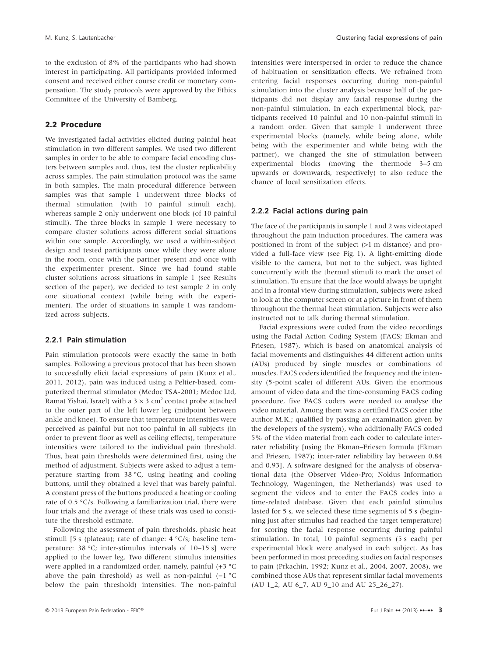to the exclusion of 8% of the participants who had shown interest in participating. All participants provided informed consent and received either course credit or monetary compensation. The study protocols were approved by the Ethics Committee of the University of Bamberg.

#### **2.2 Procedure**

We investigated facial activities elicited during painful heat stimulation in two different samples. We used two different samples in order to be able to compare facial encoding clusters between samples and, thus, test the cluster replicability across samples. The pain stimulation protocol was the same in both samples. The main procedural difference between samples was that sample 1 underwent three blocks of thermal stimulation (with 10 painful stimuli each), whereas sample 2 only underwent one block (of 10 painful stimuli). The three blocks in sample 1 were necessary to compare cluster solutions across different social situations within one sample. Accordingly, we used a within-subject design and tested participants once while they were alone in the room, once with the partner present and once with the experimenter present. Since we had found stable cluster solutions across situations in sample 1 (see Results section of the paper), we decided to test sample 2 in only one situational context (while being with the experimenter). The order of situations in sample 1 was randomized across subjects.

#### **2.2.1 Pain stimulation**

Pain stimulation protocols were exactly the same in both samples. Following a previous protocol that has been shown to successfully elicit facial expressions of pain (Kunz et al., 2011, 2012), pain was induced using a Peltier-based, computerized thermal stimulator (Medoc TSA-2001; Medoc Ltd, Ramat Yishai, Israel) with a  $3 \times 3$  cm<sup>2</sup> contact probe attached to the outer part of the left lower leg (midpoint between ankle and knee). To ensure that temperature intensities were perceived as painful but not too painful in all subjects (in order to prevent floor as well as ceiling effects), temperature intensities were tailored to the individual pain threshold. Thus, heat pain thresholds were determined first, using the method of adjustment. Subjects were asked to adjust a temperature starting from 38 °C, using heating and cooling buttons, until they obtained a level that was barely painful. A constant press of the buttons produced a heating or cooling rate of 0.5 °C/s. Following a familiarization trial, there were four trials and the average of these trials was used to constitute the threshold estimate.

Following the assessment of pain thresholds, phasic heat stimuli [5 s (plateau); rate of change: 4 °C/s; baseline temperature: 38 °C; inter-stimulus intervals of 10–15 s] were applied to the lower leg. Two different stimulus intensities were applied in a randomized order, namely, painful (+3 °C above the pain threshold) as well as non-painful (−1 °C below the pain threshold) intensities. The non-painful intensities were interspersed in order to reduce the chance of habituation or sensitization effects. We refrained from entering facial responses occurring during non-painful stimulation into the cluster analysis because half of the participants did not display any facial response during the non-painful stimulation. In each experimental block, participants received 10 painful and 10 non-painful stimuli in a random order. Given that sample 1 underwent three experimental blocks (namely, while being alone, while being with the experimenter and while being with the partner), we changed the site of stimulation between experimental blocks (moving the thermode 3–5 cm upwards or downwards, respectively) to also reduce the chance of local sensitization effects.

#### **2.2.2 Facial actions during pain**

The face of the participants in sample 1 and 2 was videotaped throughout the pain induction procedures. The camera was positioned in front of the subject (>1 m distance) and provided a full-face view (see Fig. 1). A light-emitting diode visible to the camera, but not to the subject, was lighted concurrently with the thermal stimuli to mark the onset of stimulation. To ensure that the face would always be upright and in a frontal view during stimulation, subjects were asked to look at the computer screen or at a picture in front of them throughout the thermal heat stimulation. Subjects were also instructed not to talk during thermal stimulation.

Facial expressions were coded from the video recordings using the Facial Action Coding System (FACS; Ekman and Friesen, 1987), which is based on anatomical analysis of facial movements and distinguishes 44 different action units (AUs) produced by single muscles or combinations of muscles. FACS coders identified the frequency and the intensity (5-point scale) of different AUs. Given the enormous amount of video data and the time-consuming FACS coding procedure, five FACS coders were needed to analyse the video material. Among them was a certified FACS coder (the author M.K.; qualified by passing an examination given by the developers of the system), who additionally FACS coded 5% of the video material from each coder to calculate interrater reliability [using the Ekman–Friesen formula (Ekman and Friesen, 1987); inter-rater reliability lay between 0.84 and 0.93]. A software designed for the analysis of observational data (the Observer Video-Pro; Noldus Information Technology, Wageningen, the Netherlands) was used to segment the videos and to enter the FACS codes into a time-related database. Given that each painful stimulus lasted for 5 s, we selected these time segments of 5 s (beginning just after stimulus had reached the target temperature) for scoring the facial response occurring during painful stimulation. In total, 10 painful segments (5 s each) per experimental block were analysed in each subject. As has been performed in most preceding studies on facial responses to pain (Prkachin, 1992; Kunz et al., 2004, 2007, 2008), we combined those AUs that represent similar facial movements (AU 1\_2, AU 6\_7, AU 9\_10 and AU 25\_26\_27).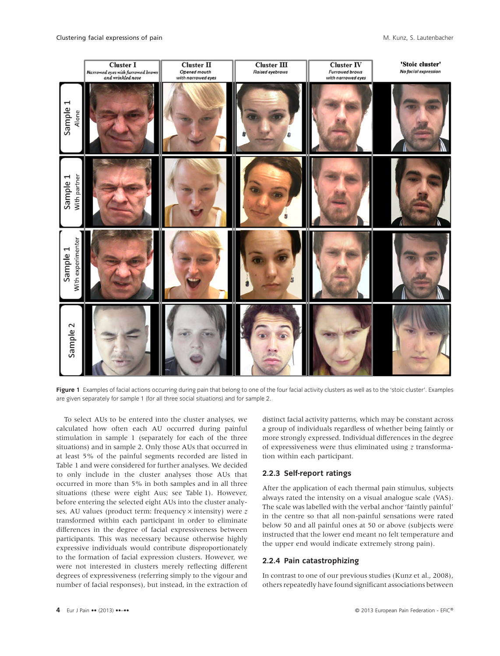

Figure 1 Examples of facial actions occurring during pain that belong to one of the four facial activity clusters as well as to the 'stoic cluster'. Examples are given separately for sample 1 (for all three social situations) and for sample 2.

To select AUs to be entered into the cluster analyses, we calculated how often each AU occurred during painful stimulation in sample 1 (separately for each of the three situations) and in sample 2. Only those AUs that occurred in at least 5% of the painful segments recorded are listed in Table 1 and were considered for further analyses. We decided to only include in the cluster analyses those AUs that occurred in more than 5% in both samples and in all three situations (these were eight Aus; see Table 1). However, before entering the selected eight AUs into the cluster analyses, AU values (product term: frequency × intensity) were *z* transformed within each participant in order to eliminate differences in the degree of facial expressiveness between participants. This was necessary because otherwise highly expressive individuals would contribute disproportionately to the formation of facial expression clusters. However, we were not interested in clusters merely reflecting different degrees of expressiveness (referring simply to the vigour and number of facial responses), but instead, in the extraction of

distinct facial activity patterns, which may be constant across a group of individuals regardless of whether being faintly or more strongly expressed. Individual differences in the degree of expressiveness were thus eliminated using *z* transformation within each participant.

#### **2.2.3 Self-report ratings**

After the application of each thermal pain stimulus, subjects always rated the intensity on a visual analogue scale (VAS). The scale was labelled with the verbal anchor 'faintly painful' in the centre so that all non-painful sensations were rated below 50 and all painful ones at 50 or above (subjects were instructed that the lower end meant no felt temperature and the upper end would indicate extremely strong pain).

#### **2.2.4 Pain catastrophizing**

In contrast to one of our previous studies (Kunz et al., 2008), others repeatedly have found significant associations between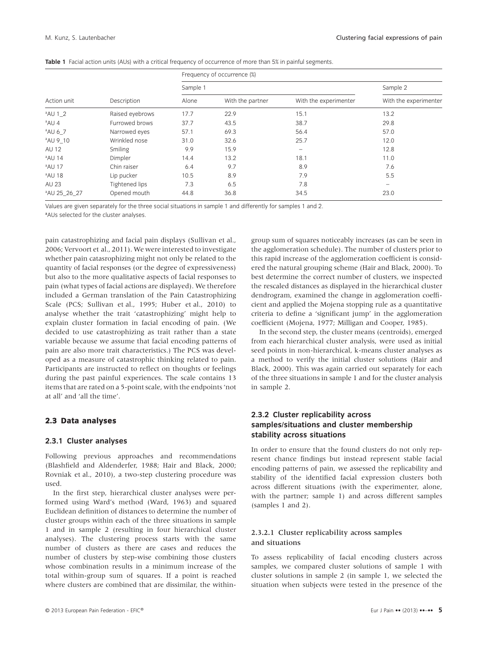|  |  |  | Table 1 Facial action units (AUs) with a critical frequency of occurrence of more than 5% in painful segments. |  |  |  |
|--|--|--|----------------------------------------------------------------------------------------------------------------|--|--|--|
|--|--|--|----------------------------------------------------------------------------------------------------------------|--|--|--|

|                          |                 |          | Frequency of occurrence (%) |                       |                          |
|--------------------------|-----------------|----------|-----------------------------|-----------------------|--------------------------|
|                          |                 | Sample 1 |                             |                       | Sample 2                 |
| Action unit              | Description     | Alone    | With the partner            | With the experimenter | With the experimenter    |
| $^a$ AU 1_2              | Raised eyebrows | 17.7     | 22.9                        | 15.1                  | 13.2                     |
| <sup>a</sup> AU 4        | Furrowed brows  | 37.7     | 43.5                        | 38.7                  | 29.8                     |
| $^a$ AU 6_7              | Narrowed eyes   | 57.1     | 69.3                        | 56.4                  | 57.0                     |
| <sup>a</sup> AU 9 10     | Wrinkled nose   | 31.0     | 32.6                        | 25.7                  | 12.0                     |
| AU 12                    | Smiling         | 9.9      | 15.9                        | -                     | 12.8                     |
| <sup>a</sup> AU 14       | Dimpler         | 14.4     | 13.2                        | 18.1                  | 11.0                     |
| <sup>a</sup> AU 17       | Chin raiser     | 6.4      | 9.7                         | 8.9                   | 7.6                      |
| <sup>a</sup> AU 18       | Lip pucker      | 10.5     | 8.9                         | 7.9                   | 5.5                      |
| AU 23                    | Tightened lips  | 7.3      | 6.5                         | 7.8                   | $\overline{\phantom{0}}$ |
| <sup>a</sup> AU 25 26 27 | Opened mouth    | 44.8     | 36.8                        | 34.5                  | 23.0                     |

Values are given separately for the three social situations in sample 1 and differently for samples 1 and 2.

a AUs selected for the cluster analyses.

pain catastrophizing and facial pain displays (Sullivan et al., 2006; Vervoort et al., 2011). We were interested to investigate whether pain catasrophizing might not only be related to the quantity of facial responses (or the degree of expressiveness) but also to the more qualitative aspects of facial responses to pain (what types of facial actions are displayed). We therefore included a German translation of the Pain Catastrophizing Scale (PCS; Sullivan et al., 1995; Huber et al., 2010) to analyse whether the trait 'catastrophizing' might help to explain cluster formation in facial encoding of pain. (We decided to use catastrophizing as trait rather than a state variable because we assume that facial encoding patterns of pain are also more trait characteristics.) The PCS was developed as a measure of catastrophic thinking related to pain. Participants are instructed to reflect on thoughts or feelings during the past painful experiences. The scale contains 13 items that are rated on a 5-point scale, with the endpoints 'not at all' and 'all the time'.

#### **2.3 Data analyses**

#### **2.3.1 Cluster analyses**

Following previous approaches and recommendations (Blashfield and Aldenderfer, 1988; Hair and Black, 2000; Rovniak et al., 2010), a two-step clustering procedure was used.

In the first step, hierarchical cluster analyses were performed using Ward's method (Ward, 1963) and squared Euclidean definition of distances to determine the number of cluster groups within each of the three situations in sample 1 and in sample 2 (resulting in four hierarchical cluster analyses). The clustering process starts with the same number of clusters as there are cases and reduces the number of clusters by step-wise combining those clusters whose combination results in a minimum increase of the total within-group sum of squares. If a point is reached where clusters are combined that are dissimilar, the within-

group sum of squares noticeably increases (as can be seen in the agglomeration schedule). The number of clusters prior to this rapid increase of the agglomeration coefficient is considered the natural grouping scheme (Hair and Black, 2000). To best determine the correct number of clusters, we inspected the rescaled distances as displayed in the hierarchical cluster dendrogram, examined the change in agglomeration coefficient and applied the Mojena stopping rule as a quantitative criteria to define a 'significant jump' in the agglomeration coefficient (Mojena, 1977; Milligan and Cooper, 1985).

In the second step, the cluster means (centroids), emerged from each hierarchical cluster analysis, were used as initial seed points in non-hierarchical, k-means cluster analyses as a method to verify the initial cluster solutions (Hair and Black, 2000). This was again carried out separately for each of the three situations in sample 1 and for the cluster analysis in sample 2.

### **2.3.2 Cluster replicability across samples/situations and cluster membership stability across situations**

In order to ensure that the found clusters do not only represent chance findings but instead represent stable facial encoding patterns of pain, we assessed the replicability and stability of the identified facial expression clusters both across different situations (with the experimenter, alone, with the partner; sample 1) and across different samples (samples 1 and 2).

### 2.3.2.1 Cluster replicability across samples and situations

To assess replicability of facial encoding clusters across samples, we compared cluster solutions of sample 1 with cluster solutions in sample 2 (in sample 1, we selected the situation when subjects were tested in the presence of the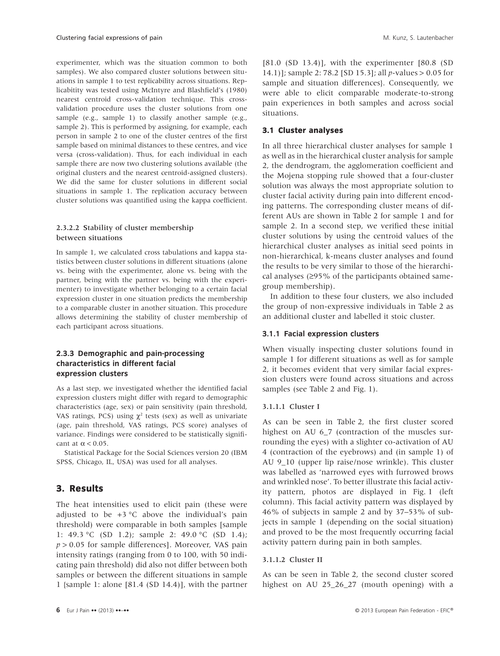experimenter, which was the situation common to both samples). We also compared cluster solutions between situations in sample 1 to test replicability across situations. Replicabitity was tested using McIntyre and Blashfield's (1980) nearest centroid cross-validation technique. This crossvalidation procedure uses the cluster solutions from one sample (e.g., sample 1) to classify another sample (e.g., sample 2). This is performed by assigning, for example, each person in sample 2 to one of the cluster centres of the first sample based on minimal distances to these centres, and vice versa (cross-validation). Thus, for each individual in each sample there are now two clustering solutions available (the original clusters and the nearest centroid-assigned clusters). We did the same for cluster solutions in different social situations in sample 1. The replication accuracy between cluster solutions was quantified using the kappa coefficient.

### 2.3.2.2 Stability of cluster membership between situations

In sample 1, we calculated cross tabulations and kappa statistics between cluster solutions in different situations (alone vs. being with the experimenter, alone vs. being with the partner, being with the partner vs. being with the experimenter) to investigate whether belonging to a certain facial expression cluster in one situation predicts the membership to a comparable cluster in another situation. This procedure allows determining the stability of cluster membership of each participant across situations.

# **2.3.3 Demographic and pain-processing characteristics in different facial expression clusters**

As a last step, we investigated whether the identified facial expression clusters might differ with regard to demographic characteristics (age, sex) or pain sensitivity (pain threshold, VAS ratings, PCS) using  $\chi^2$  tests (sex) as well as univariate (age, pain threshold, VAS ratings, PCS score) analyses of variance. Findings were considered to be statistically significant at  $\alpha$  < 0.05.

Statistical Package for the Social Sciences version 20 (IBM SPSS, Chicago, IL, USA) was used for all analyses.

# **3. Results**

The heat intensities used to elicit pain (these were adjusted to be  $+3$  °C above the individual's pain threshold) were comparable in both samples [sample 1: 49.3 °C (SD 1.2); sample 2: 49.0 °C (SD 1.4); *p* > 0.05 for sample differences]. Moreover, VAS pain intensity ratings (ranging from 0 to 100, with 50 indicating pain threshold) did also not differ between both samples or between the different situations in sample 1 {sample 1: alone [81.4 (SD 14.4)], with the partner

[81.0 (SD 13.4)], with the experimenter [80.8 (SD 14.1)]; sample 2: 78.2 [SD 15.3]; all *p*-values > 0.05 for sample and situation differences}. Consequently, we were able to elicit comparable moderate-to-strong pain experiences in both samples and across social situations.

### **3.1 Cluster analyses**

In all three hierarchical cluster analyses for sample 1 as well as in the hierarchical cluster analysis for sample 2, the dendrogram, the agglomeration coefficient and the Mojena stopping rule showed that a four-cluster solution was always the most appropriate solution to cluster facial activity during pain into different encoding patterns. The corresponding cluster means of different AUs are shown in Table 2 for sample 1 and for sample 2. In a second step, we verified these initial cluster solutions by using the centroid values of the hierarchical cluster analyses as initial seed points in non-hierarchical, k-means cluster analyses and found the results to be very similar to those of the hierarchical analyses (≥95% of the participants obtained samegroup membership).

In addition to these four clusters, we also included the group of non-expressive individuals in Table 2 as an additional cluster and labelled it stoic cluster.

#### **3.1.1 Facial expression clusters**

When visually inspecting cluster solutions found in sample 1 for different situations as well as for sample 2, it becomes evident that very similar facial expression clusters were found across situations and across samples (see Table 2 and Fig. 1).

#### 3.1.1.1 Cluster I

As can be seen in Table 2, the first cluster scored highest on AU 6\_7 (contraction of the muscles surrounding the eyes) with a slighter co-activation of AU 4 (contraction of the eyebrows) and (in sample 1) of AU 9\_10 (upper lip raise/nose wrinkle). This cluster was labelled as 'narrowed eyes with furrowed brows and wrinkled nose'. To better illustrate this facial activity pattern, photos are displayed in Fig. 1 (left column). This facial activity pattern was displayed by 46% of subjects in sample 2 and by 37–53% of subjects in sample 1 (depending on the social situation) and proved to be the most frequently occurring facial activity pattern during pain in both samples.

#### 3.1.1.2 Cluster II

As can be seen in Table 2, the second cluster scored highest on AU 25\_26\_27 (mouth opening) with a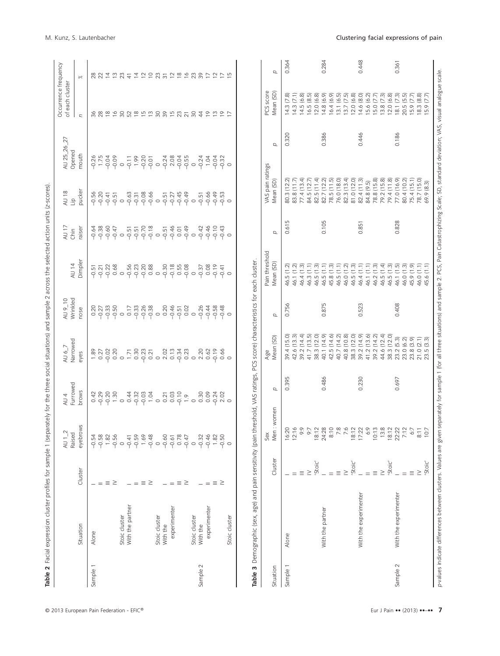| 5<br>j<br>ł<br>1<br>j                     |
|-------------------------------------------|
| l<br>ׇ֦֘֡֝<br>١<br>֕<br>ł<br>ׇ֘֒<br>j     |
| l<br>Ξ<br>S                               |
| ļ<br>I<br>١<br>j<br>j                     |
| ī<br>ì<br>ī<br>5<br>ī<br>Ś<br>j           |
| a<br>T<br>١<br>cala<br>j                  |
| 5<br>ļ<br>ś                               |
| ï<br>j<br>č<br>Ş<br>١                     |
| i<br>֠<br>5<br>֕<br>J                     |
| ۴Ď,                                       |
| ă<br>ÿ<br>₹<br>ţ                          |
| j<br>ſ<br>Ĩ<br>j                          |
| $\subseteq$<br>'n<br>۱                    |
| ₹<br>i                                    |
| -na<br>ă<br>ŭ                             |
| three                                     |
| ı.<br>Š                                   |
| ś<br>J<br>Ó                               |
| $v$ at $\alpha$<br>5<br>Ï                 |
| ř<br>5<br>å<br>ì<br>i<br>١<br>Ś<br>J<br>j |
| 1                                         |
| sample                                    |
| ï                                         |
| ΰ<br>ţ<br>profile<br>i                    |
| ster                                      |
| ě<br>ŧ<br>j                               |
| Ì<br>j                                    |
| ł<br>J                                    |
| I<br>i<br>I                               |
| I<br>Į                                    |
| Ì<br>١<br>ī<br>Ó<br>ī<br>ŀ                |

|           | Table 2 Facial expression cluster profiles for sample 1 (separately for the three social situations) and sample 2 across the selected action units (z-scores) |                    |                                                                                                                                                                                                                                                                                                                                                                           |                  |                                                                     |                     |                          |                                          |                               |                              |                                                                                                             |                                                       |
|-----------|---------------------------------------------------------------------------------------------------------------------------------------------------------------|--------------------|---------------------------------------------------------------------------------------------------------------------------------------------------------------------------------------------------------------------------------------------------------------------------------------------------------------------------------------------------------------------------|------------------|---------------------------------------------------------------------|---------------------|--------------------------|------------------------------------------|-------------------------------|------------------------------|-------------------------------------------------------------------------------------------------------------|-------------------------------------------------------|
|           |                                                                                                                                                               |                    |                                                                                                                                                                                                                                                                                                                                                                           |                  |                                                                     |                     |                          |                                          |                               |                              | Occurrence frequency                                                                                        |                                                       |
|           |                                                                                                                                                               |                    | AU $1_{-2}$<br>Raised                                                                                                                                                                                                                                                                                                                                                     | Furrowed<br>AU 4 | Narrowed<br>AU 6_7                                                  | Wrinkled<br>AU 9_10 | AU 14                    | AU 17<br>Chin                            | AU 18<br>$\frac{a}{b}$        | AU 25_26_27<br>Opened        | of each cluster                                                                                             |                                                       |
|           | Situation                                                                                                                                                     | Cluster            | eyebrows                                                                                                                                                                                                                                                                                                                                                                  | brows            | eyes                                                                | nose                | Dimpler                  | raiser                                   | pucker                        | mouth                        | $\overline{z}$                                                                                              | $\geqslant$                                           |
| Sample 1  | Alone                                                                                                                                                         |                    | $-0.54$                                                                                                                                                                                                                                                                                                                                                                   |                  | 1.89                                                                | 0.20                | $-0.51$                  |                                          |                               |                              |                                                                                                             |                                                       |
|           |                                                                                                                                                               |                    | $-0.58$                                                                                                                                                                                                                                                                                                                                                                   |                  | 0.27                                                                | $-0.27$             |                          | $-0.38$                                  | $-0.56$<br>$-0.50$            |                              |                                                                                                             |                                                       |
|           |                                                                                                                                                               | $= \equiv \geq$    | 1.82                                                                                                                                                                                                                                                                                                                                                                      |                  |                                                                     |                     | $-0.22$                  | $-0.60$                                  |                               | $9.758$<br>$9.759$<br>$9.79$ |                                                                                                             |                                                       |
|           | Stoic cluster                                                                                                                                                 |                    | $-0.56$<br>$\circ$                                                                                                                                                                                                                                                                                                                                                        |                  | $0.28$<br>$0.20$<br>$0.71$                                          | $-0.50$<br>$\circ$  | 0.68                     | $-0.47$                                  |                               |                              | 382232252335235                                                                                             | 83 23 23 24 25 26 26 26 26 26 26 27 28 29 29 29 20 20 |
|           | With the partner                                                                                                                                              |                    | $-0.41$                                                                                                                                                                                                                                                                                                                                                                   |                  |                                                                     | 0.17                | $-0.56$                  |                                          |                               | $\frac{1}{2}$                |                                                                                                             |                                                       |
|           |                                                                                                                                                               | $=$                | $-0.59$                                                                                                                                                                                                                                                                                                                                                                   |                  |                                                                     |                     |                          |                                          |                               |                              |                                                                                                             |                                                       |
|           |                                                                                                                                                               | $\equiv$ $\geq$    | 1.69                                                                                                                                                                                                                                                                                                                                                                      |                  | $0.30$<br>$-0.23$                                                   | $-0.33$<br>$-0.26$  |                          |                                          |                               | $-0.20$                      |                                                                                                             |                                                       |
|           |                                                                                                                                                               |                    | $-0.48$                                                                                                                                                                                                                                                                                                                                                                   |                  | $0.21$<br>$0.02$                                                    | $-0.38$<br>$0.20$   |                          | $-0.51$<br>$-0.54$<br>$-0.51$<br>$-0.51$ |                               |                              |                                                                                                             |                                                       |
|           | Stoic cluster                                                                                                                                                 |                    | $\circ$                                                                                                                                                                                                                                                                                                                                                                   |                  |                                                                     |                     |                          |                                          |                               |                              |                                                                                                             |                                                       |
|           | With the                                                                                                                                                      |                    | $-0.60$                                                                                                                                                                                                                                                                                                                                                                   |                  |                                                                     |                     |                          |                                          |                               |                              |                                                                                                             |                                                       |
|           | experimenter                                                                                                                                                  | $= \equiv \geq$    | $-0.61$<br>0.78                                                                                                                                                                                                                                                                                                                                                           |                  | $-0.34$                                                             | $-0.46$             | $-0.18$<br>0.55          |                                          |                               |                              |                                                                                                             |                                                       |
|           |                                                                                                                                                               |                    |                                                                                                                                                                                                                                                                                                                                                                           |                  |                                                                     | $-0.51$             |                          |                                          |                               |                              |                                                                                                             |                                                       |
|           | Stoic cluster                                                                                                                                                 |                    | $-0.47$<br>$\circ$                                                                                                                                                                                                                                                                                                                                                        |                  | $0.23$<br>$0.20$                                                    | 0.02<br>$\circ$     | $-0.08$<br>$-0.37$       | $rac{49}{9}$                             |                               |                              |                                                                                                             |                                                       |
| Sample 2  | With the                                                                                                                                                      |                    | $-0.32$                                                                                                                                                                                                                                                                                                                                                                   |                  |                                                                     | $-0.26$             |                          |                                          |                               |                              |                                                                                                             |                                                       |
|           |                                                                                                                                                               |                    | $-0.46$                                                                                                                                                                                                                                                                                                                                                                   |                  | 0.62                                                                | $-0.44$             | 0.08                     | $-0.42$                                  | $-0.66$                       |                              |                                                                                                             |                                                       |
|           | experimenter                                                                                                                                                  |                    |                                                                                                                                                                                                                                                                                                                                                                           | $-0.24$          | $-0.19$                                                             | $-0.58$             | $-0.19$                  |                                          |                               |                              |                                                                                                             |                                                       |
|           |                                                                                                                                                               | $= \equiv \geq$    | 1.82                                                                                                                                                                                                                                                                                                                                                                      |                  |                                                                     |                     |                          | $-9.43$                                  | $-0.49$<br>$-0.53$            | $-9.32$<br>$-9.9$            | $\begin{array}{ccccccccc}\n4 & 5 & 5 & 5 & 5\n\end{array}$                                                  |                                                       |
|           | Stoic cluster                                                                                                                                                 |                    | $\circ$                                                                                                                                                                                                                                                                                                                                                                   | 2.02             | 0.66                                                                | $-0.48$             | $rac{41}{9}$             |                                          |                               |                              |                                                                                                             |                                                       |
| Table 3   | Demographic (sex, age) and pain sensitivity (pain 1                                                                                                           |                    |                                                                                                                                                                                                                                                                                                                                                                           |                  | threshold, VAS ratings, PCS score) characteristics for each cluster |                     |                          |                                          |                               |                              |                                                                                                             |                                                       |
|           |                                                                                                                                                               | Cluster            | Sex                                                                                                                                                                                                                                                                                                                                                                       |                  | Age                                                                 |                     | Pain threshold           |                                          | VAS pain ratings<br>Mean (SD) |                              | PCS score                                                                                                   |                                                       |
| Situation |                                                                                                                                                               |                    | Men : women                                                                                                                                                                                                                                                                                                                                                               | p                | Mean (SD)                                                           | p                   | Mean (SD)                | Q                                        |                               | $\sigma$                     | Mean (SD)                                                                                                   | p                                                     |
| Sample 1  | Alone                                                                                                                                                         |                    | 16:20                                                                                                                                                                                                                                                                                                                                                                     | 0.395            | 39.4 (15.0)                                                         | 0.756               | 46.5 (1.2)<br>46.1 (1.2) | 0.615                                    | 80.3 (12.2)                   | 0.320                        | (7.8)<br>14.3                                                                                               | 0.364                                                 |
|           |                                                                                                                                                               |                    | 12:1                                                                                                                                                                                                                                                                                                                                                                      |                  | 42.6 (13.3)                                                         |                     |                          |                                          | 83.8 (11.7)                   |                              | 14.3(7.1)                                                                                                   |                                                       |
|           |                                                                                                                                                               | Ξ                  |                                                                                                                                                                                                                                                                                                                                                                           |                  | 39.2 (14.4)                                                         |                     | 46.4(1.3)                |                                          | 77.4(13.4)                    |                              | 14.5(6.8)                                                                                                   |                                                       |
|           |                                                                                                                                                               | $\geq$             | $\begin{array}{r} 12:16 \\ 9:9 \\ 9:7 \\ 18:12 \\ 24:28 \\ \hline 8:10 \\ \hline \end{array}$                                                                                                                                                                                                                                                                             |                  | 41.7(13.5)                                                          |                     | 46.3(1.1)                |                                          | 84.5 (12.7)                   |                              | (8.5)<br>16.5                                                                                               |                                                       |
|           |                                                                                                                                                               | 'Stoic'            |                                                                                                                                                                                                                                                                                                                                                                           |                  | 38.3 (12.0)                                                         |                     | 46.5(1.3)                |                                          | 82.5(11.4)                    |                              | (6.8)<br>12.0                                                                                               |                                                       |
|           | With the partner                                                                                                                                              |                    |                                                                                                                                                                                                                                                                                                                                                                           | 0.486            | 40.1 (14.9)                                                         | 0.875               | 46.5(1.1)                | 0.105                                    | 82.7 (12.2)                   | 0.386                        | (6.9)<br>14.8                                                                                               | 0.284                                                 |
|           |                                                                                                                                                               |                    | တ္                                                                                                                                                                                                                                                                                                                                                                        |                  | 42.5 (14.6)<br>40.7 (14.2)                                          |                     | 45.8(1.3)<br>46.5(1.1)   |                                          | 78.5(11.5)<br>76.0 (18.0)     |                              |                                                                                                             |                                                       |
|           |                                                                                                                                                               | $\geq$<br>$\equiv$ | トト                                                                                                                                                                                                                                                                                                                                                                        |                  | 40.8 (10.8)                                                         |                     |                          |                                          | 82.3 (13.4)                   |                              |                                                                                                             |                                                       |
|           |                                                                                                                                                               | 'Stoic'            | $\begin{array}{r} \text{7:6} \\ \text{18:12} \\ \text{19:23} \\ \text{10:13} \\ \text{11:24} \\ \text{12:35} \\ \text{13:36} \\ \text{14:37} \\ \text{15:38} \\ \text{16:32} \\ \text{17:33} \\ \text{18:33} \\ \text{19:33} \\ \text{10:33} \\ \text{11:33} \\ \text{12:34} \\ \text{13:34} \\ \text{14:35} \\ \text{15:36} \\ \text{16:37} \\ \text{17:38} \\ \text{18$ |                  | 38.3 (12.0)                                                         |                     | 46.0 (1.2)<br>46.5 (1.3) |                                          | 81.0 (12.0)                   |                              | $\begin{array}{c} 16.4 & (6.9) \\ 13.1 & (6.5) \\ 13.7 & (7.5) \\ 12.0 & (6.8) \\ 14.6 & (8.0) \end{array}$ |                                                       |
|           | With the experimenter                                                                                                                                         |                    |                                                                                                                                                                                                                                                                                                                                                                           | 0.230            | 39.2 (14.9)                                                         | 0.523               | 46.4 (1.1)               | 0.851                                    | 82.4 (11.3)                   | 0.446                        |                                                                                                             | 0.448                                                 |
|           |                                                                                                                                                               |                    |                                                                                                                                                                                                                                                                                                                                                                           |                  | 41.2(13.6)                                                          |                     | 46.1 (1.1)               |                                          | 84.8 (9.5)                    |                              | (6.2)<br>15.6                                                                                               |                                                       |
|           |                                                                                                                                                               | $\equiv$           |                                                                                                                                                                                                                                                                                                                                                                           |                  | 39.2 (14.2)                                                         |                     | 46.2(1.3)                |                                          | 78.8 (15.8)                   |                              | $15.0 (7.7)$<br>$13.8 (7.3)$                                                                                |                                                       |
|           |                                                                                                                                                               | $\geq$             |                                                                                                                                                                                                                                                                                                                                                                           |                  | 44.6 (12.4)                                                         |                     | 46.5(1.4)                |                                          | 79.2 (15.8)                   |                              |                                                                                                             |                                                       |
|           |                                                                                                                                                               | 'Stoic'            |                                                                                                                                                                                                                                                                                                                                                                           |                  | 38.3 (12.0)                                                         |                     | 46.5(1.3)                |                                          | 79.4 (11.8)                   |                              | (6.8)<br>12.0                                                                                               |                                                       |
| Sample 2  | With the experimenter                                                                                                                                         |                    |                                                                                                                                                                                                                                                                                                                                                                           | 0.697            | 23.2(5.3)                                                           | 0.408               | 46.1 (1.5)<br>46.0 (1.3) | 0.828                                    | 77.0 (16.9)                   | 0.186                        | $(7.3)$<br>$(5.5)$<br>18.1                                                                                  | 0.361                                                 |
|           |                                                                                                                                                               |                    |                                                                                                                                                                                                                                                                                                                                                                           |                  | (6.2)<br>23.0                                                       |                     |                          |                                          | 80.4 (10.2)                   |                              | 20.5                                                                                                        |                                                       |
|           |                                                                                                                                                               | $\equiv$           |                                                                                                                                                                                                                                                                                                                                                                           |                  | 23.8(3.9)                                                           |                     | 45.9 (1.9)               |                                          | 75.4(15.1)                    |                              | (7.7)<br>15.9                                                                                               |                                                       |
|           |                                                                                                                                                               | 'Stoic'<br>$\geq$  | 8:11<br>$\overline{a}$                                                                                                                                                                                                                                                                                                                                                    |                  | $21.0 (2.1)$<br>$23.5 (3.3)$                                        |                     | 46.0(1.1)<br>45.6 (1.1)  |                                          | 78.7 (15.0)<br>69.9 (8.3)     |                              | $18.3(8.8)$<br>15.9 (7.7)                                                                                   |                                                       |
|           |                                                                                                                                                               |                    |                                                                                                                                                                                                                                                                                                                                                                           |                  |                                                                     |                     |                          |                                          |                               |                              |                                                                                                             |                                                       |

M. Kunz, S. Lautenbacher Clustering facial expressions of pain

*p*-values indicate differences between clusters. Values are given separately for sample 1 (for all three situations) and sample 2. PCS, Pain Catastrophizing Scale; SD, standard deviation; VAS, visual analogue scale.

p-values indicate differences between clusters. Values are given separately for sample 1 (for all three situations) and sample 2. PCS, Pain Catastrophizing Scale; SD, standard deviation; VAS, visual analogue scale.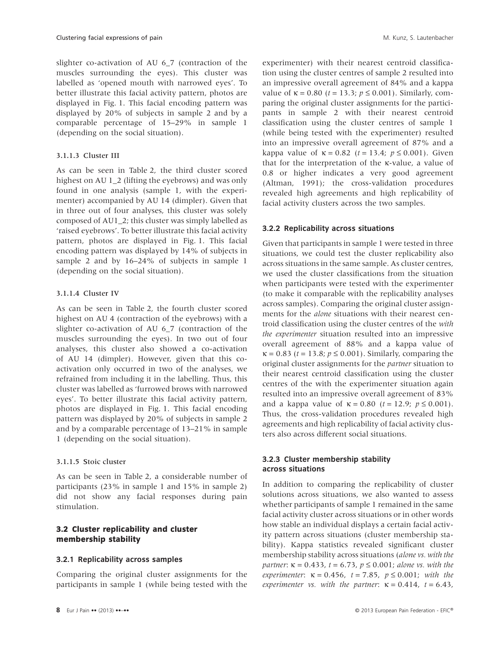slighter co-activation of AU 6\_7 (contraction of the muscles surrounding the eyes). This cluster was labelled as 'opened mouth with narrowed eyes'. To better illustrate this facial activity pattern, photos are displayed in Fig. 1. This facial encoding pattern was displayed by 20% of subjects in sample 2 and by a comparable percentage of 15–29% in sample 1 (depending on the social situation).

### 3.1.1.3 Cluster III

As can be seen in Table 2, the third cluster scored highest on AU 1\_2 (lifting the eyebrows) and was only found in one analysis (sample 1, with the experimenter) accompanied by AU 14 (dimpler). Given that in three out of four analyses, this cluster was solely composed of AU1\_2; this cluster was simply labelled as 'raised eyebrows'. To better illustrate this facial activity pattern, photos are displayed in Fig. 1. This facial encoding pattern was displayed by 14% of subjects in sample 2 and by 16–24% of subjects in sample 1 (depending on the social situation).

### 3.1.1.4 Cluster IV

As can be seen in Table 2, the fourth cluster scored highest on AU 4 (contraction of the eyebrows) with a slighter co-activation of AU 6\_7 (contraction of the muscles surrounding the eyes). In two out of four analyses, this cluster also showed a co-activation of AU 14 (dimpler). However, given that this coactivation only occurred in two of the analyses, we refrained from including it in the labelling. Thus, this cluster was labelled as 'furrowed brows with narrowed eyes'. To better illustrate this facial activity pattern, photos are displayed in Fig. 1. This facial encoding pattern was displayed by 20% of subjects in sample 2 and by a comparable percentage of 13–21% in sample 1 (depending on the social situation).

#### 3.1.1.5 Stoic cluster

As can be seen in Table 2, a considerable number of participants (23% in sample 1 and 15% in sample 2) did not show any facial responses during pain stimulation.

# **3.2 Cluster replicability and cluster membership stability**

#### **3.2.1 Replicability across samples**

Comparing the original cluster assignments for the participants in sample 1 (while being tested with the

experimenter) with their nearest centroid classification using the cluster centres of sample 2 resulted into an impressive overall agreement of 84% and a kappa value of  $\kappa = 0.80$  (*t* = 13.3;  $p \le 0.001$ ). Similarly, comparing the original cluster assignments for the participants in sample 2 with their nearest centroid classification using the cluster centres of sample 1 (while being tested with the experimenter) resulted into an impressive overall agreement of 87% and a kappa value of  $\kappa = 0.82$  ( $t = 13.4$ ;  $p \le 0.001$ ). Given that for the interpretation of the κ-value, a value of 0.8 or higher indicates a very good agreement (Altman, 1991); the cross-validation procedures revealed high agreements and high replicability of facial activity clusters across the two samples.

# **3.2.2 Replicability across situations**

Given that participants in sample 1 were tested in three situations, we could test the cluster replicability also across situations in the same sample. As cluster centres, we used the cluster classifications from the situation when participants were tested with the experimenter (to make it comparable with the replicability analyses across samples). Comparing the original cluster assignments for the *alone* situations with their nearest centroid classification using the cluster centres of the *with the experimenter* situation resulted into an impressive overall agreement of 88% and a kappa value of  $\kappa = 0.83$  (*t* = 13.8; *p*  $\leq$  0.001). Similarly, comparing the original cluster assignments for the *partner* situation to their nearest centroid classification using the cluster centres of the with the experimenter situation again resulted into an impressive overall agreement of 83% and a kappa value of  $\kappa = 0.80$  ( $t = 12.9$ ;  $p \le 0.001$ ). Thus, the cross-validation procedures revealed high agreements and high replicability of facial activity clusters also across different social situations.

# **3.2.3 Cluster membership stability across situations**

In addition to comparing the replicability of cluster solutions across situations, we also wanted to assess whether participants of sample 1 remained in the same facial activity cluster across situations or in other words how stable an individual displays a certain facial activity pattern across situations (cluster membership stability). Kappa statistics revealed significant cluster membership stability across situations (*alone vs. with the partner*: κ = 0.433, *t* = 6.73, *p* ≤ 0.001; *alone vs. with the experimenter*:  $κ = 0.456$ ,  $t = 7.85$ ,  $p \le 0.001$ ; with the *experimenter vs. with the partner:*  $\kappa = 0.414$ ,  $t = 6.43$ ,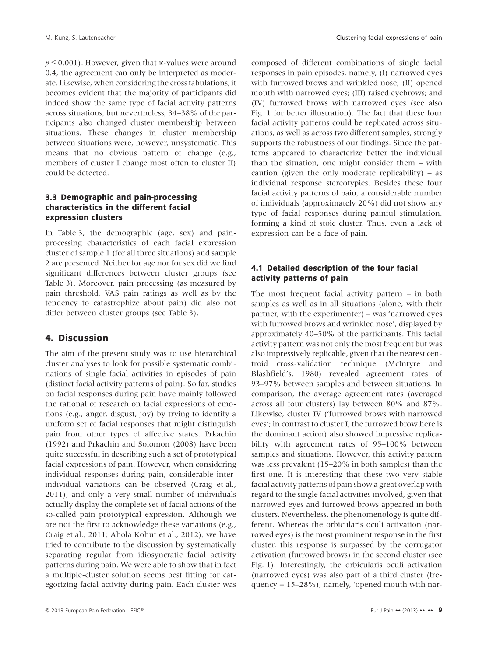$p \leq 0.001$ ). However, given that  $\kappa$ -values were around 0.4, the agreement can only be interpreted as moderate. Likewise, when considering the cross tabulations, it becomes evident that the majority of participants did indeed show the same type of facial activity patterns across situations, but nevertheless, 34–38% of the participants also changed cluster membership between situations. These changes in cluster membership between situations were, however, unsystematic. This means that no obvious pattern of change (e.g., members of cluster I change most often to cluster II) could be detected.

# **3.3 Demographic and pain-processing characteristics in the different facial expression clusters**

In Table 3, the demographic (age, sex) and painprocessing characteristics of each facial expression cluster of sample 1 (for all three situations) and sample 2 are presented. Neither for age nor for sex did we find significant differences between cluster groups (see Table 3). Moreover, pain processing (as measured by pain threshold, VAS pain ratings as well as by the tendency to catastrophize about pain) did also not differ between cluster groups (see Table 3).

# **4. Discussion**

The aim of the present study was to use hierarchical cluster analyses to look for possible systematic combinations of single facial activities in episodes of pain (distinct facial activity patterns of pain). So far, studies on facial responses during pain have mainly followed the rational of research on facial expressions of emotions (e.g., anger, disgust, joy) by trying to identify a uniform set of facial responses that might distinguish pain from other types of affective states. Prkachin (1992) and Prkachin and Solomon (2008) have been quite successful in describing such a set of prototypical facial expressions of pain. However, when considering individual responses during pain, considerable interindividual variations can be observed (Craig et al., 2011), and only a very small number of individuals actually display the complete set of facial actions of the so-called pain prototypical expression. Although we are not the first to acknowledge these variations (e.g., Craig et al., 2011; Ahola Kohut et al., 2012), we have tried to contribute to the discussion by systematically separating regular from idiosyncratic facial activity patterns during pain. We were able to show that in fact a multiple-cluster solution seems best fitting for categorizing facial activity during pain. Each cluster was

composed of different combinations of single facial responses in pain episodes, namely, (I) narrowed eyes with furrowed brows and wrinkled nose; (II) opened mouth with narrowed eyes; (III) raised eyebrows; and (IV) furrowed brows with narrowed eyes (see also Fig. 1 for better illustration). The fact that these four facial activity patterns could be replicated across situations, as well as across two different samples, strongly supports the robustness of our findings. Since the patterns appeared to characterize better the individual than the situation, one might consider them – with caution (given the only moderate replicability) – as individual response stereotypies. Besides these four facial activity patterns of pain, a considerable number of individuals (approximately 20%) did not show any type of facial responses during painful stimulation, forming a kind of stoic cluster. Thus, even a lack of expression can be a face of pain.

# **4.1 Detailed description of the four facial activity patterns of pain**

The most frequent facial activity pattern – in both samples as well as in all situations (alone, with their partner, with the experimenter) – was 'narrowed eyes with furrowed brows and wrinkled nose', displayed by approximately 40–50% of the participants. This facial activity pattern was not only the most frequent but was also impressively replicable, given that the nearest centroid cross-validation technique (McIntyre and Blashfield's, 1980) revealed agreement rates of 93–97% between samples and between situations. In comparison, the average agreement rates (averaged across all four clusters) lay between 80% and 87%. Likewise, cluster IV ('furrowed brows with narrowed eyes'; in contrast to cluster I, the furrowed brow here is the dominant action) also showed impressive replicability with agreement rates of 95–100% between samples and situations. However, this activity pattern was less prevalent (15–20% in both samples) than the first one. It is interesting that these two very stable facial activity patterns of pain show a great overlap with regard to the single facial activities involved, given that narrowed eyes and furrowed brows appeared in both clusters. Nevertheless, the phenomenology is quite different. Whereas the orbicularis oculi activation (narrowed eyes) is the most prominent response in the first cluster, this response is surpassed by the corrugator activation (furrowed brows) in the second cluster (see Fig. 1). Interestingly, the orbicularis oculi activation (narrowed eyes) was also part of a third cluster (frequency = 15–28%), namely, 'opened mouth with nar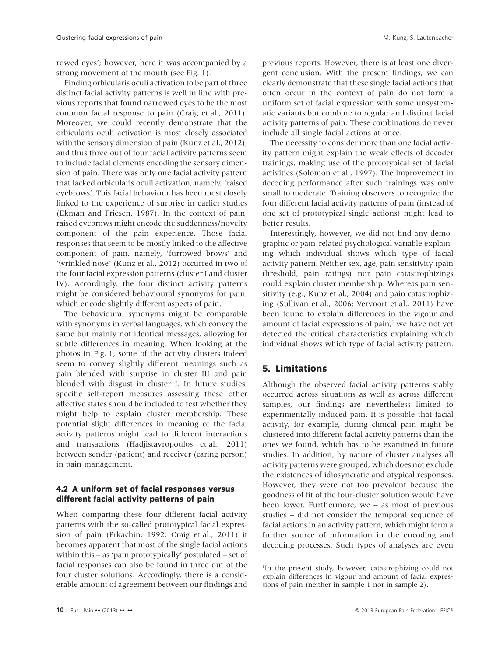rowed eyes'; however, here it was accompanied by a strong movement of the mouth (see Fig. 1).

Finding orbicularis oculi activation to be part of three distinct facial activity patterns is well in line with previous reports that found narrowed eyes to be the most common facial response to pain (Craig et al., 2011). Moreover, we could recently demonstrate that the orbicularis oculi activation is most closely associated with the sensory dimension of pain (Kunz et al., 2012), and thus three out of four facial activity patterns seem to include facial elements encoding the sensory dimension of pain. There was only one facial activity pattern that lacked orbicularis oculi activation, namely, 'raised eyebrows'. This facial behaviour has been most closely linked to the experience of surprise in earlier studies (Ekman and Friesen, 1987). In the context of pain, raised eyebrows might encode the suddenness/novelty component of the pain experience. Those facial responses that seem to be mostly linked to the affective component of pain, namely, 'furrowed brows' and 'wrinkled nose' (Kunz et al., 2012) occurred in two of the four facial expression patterns (cluster I and cluster IV). Accordingly, the four distinct activity patterns might be considered behavioural synonyms for pain, which encode slightly different aspects of pain.

The behavioural synonyms might be comparable with synonyms in verbal languages, which convey the same but mainly not identical messages, allowing for subtle differences in meaning. When looking at the photos in Fig. 1, some of the activity clusters indeed seem to convey slightly different meanings such as pain blended with surprise in cluster III and pain blended with disgust in cluster I. In future studies, specific self-report measures assessing these other affective states should be included to test whether they might help to explain cluster membership. These potential slight differences in meaning of the facial activity patterns might lead to different interactions and transactions (Hadjistavropoulos et al., 2011) between sender (patient) and receiver (caring person) in pain management.

# **4.2 A uniform set of facial responses versus different facial activity patterns of pain**

When comparing these four different facial activity patterns with the so-called prototypical facial expression of pain (Prkachin, 1992; Craig et al., 2011) it becomes apparent that most of the single facial actions within this – as 'pain prototypically' postulated – set of facial responses can also be found in three out of the four cluster solutions. Accordingly, there is a considerable amount of agreement between our findings and

previous reports. However, there is at least one divergent conclusion. With the present findings, we can clearly demonstrate that these single facial actions that often occur in the context of pain do not form a uniform set of facial expression with some unsystematic variants but combine to regular and distinct facial activity patterns of pain. These combinations do never include all single facial actions at once.

The necessity to consider more than one facial activity pattern might explain the weak effects of decoder trainings, making use of the prototypical set of facial activities (Solomon et al., 1997). The improvement in decoding performance after such trainings was only small to moderate. Training observers to recognize the four different facial activity patterns of pain (instead of one set of prototypical single actions) might lead to better results.

Interestingly, however, we did not find any demographic or pain-related psychological variable explaining which individual shows which type of facial activity pattern. Neither sex, age, pain sensitivity (pain threshold, pain ratings) nor pain catastrophizings could explain cluster membership. Whereas pain sensitivity (e.g., Kunz et al., 2004) and pain catastrophizing (Sullivan et al., 2006; Vervoort et al., 2011) have been found to explain differences in the vigour and amount of facial expressions of pain, $1$  we have not yet detected the critical characteristics explaining which individual shows which type of facial activity pattern.

# **5. Limitations**

Although the observed facial activity patterns stably occurred across situations as well as across different samples, our findings are nevertheless limited to experimentally induced pain. It is possible that facial activity, for example, during clinical pain might be clustered into different facial activity patterns than the ones we found, which has to be examined in future studies. In addition, by nature of cluster analyses all activity patterns were grouped, which does not exclude the existences of idiosyncratic and atypical responses. However, they were not too prevalent because the goodness of fit of the four-cluster solution would have been lower. Furthermore, we – as most of previous studies – did not consider the temporal sequence of facial actions in an activity pattern, which might form a further source of information in the encoding and decoding processes. Such types of analyses are even

1 In the present study, however, catastrophizing could not explain differences in vigour and amount of facial expressions of pain (neither in sample 1 nor in sample 2).